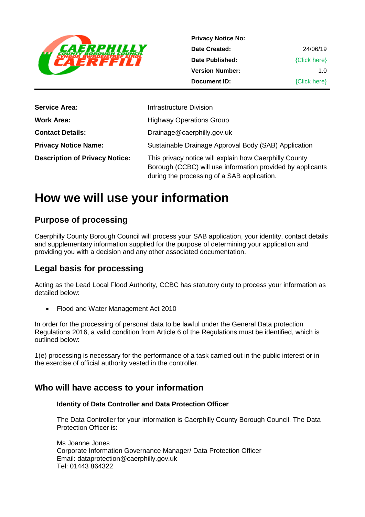

**Privacy Notice No: Date Created: Date Published: Version Number: Document ID:** 24/06/19 {Click here} 1.0 {Click here}

| <b>Service Area:</b>                  | Infrastructure Division                                                                                                                                             |
|---------------------------------------|---------------------------------------------------------------------------------------------------------------------------------------------------------------------|
| <b>Work Area:</b>                     | <b>Highway Operations Group</b>                                                                                                                                     |
| <b>Contact Details:</b>               | Drainage@caerphilly.gov.uk                                                                                                                                          |
| <b>Privacy Notice Name:</b>           | Sustainable Drainage Approval Body (SAB) Application                                                                                                                |
| <b>Description of Privacy Notice:</b> | This privacy notice will explain how Caerphilly County<br>Borough (CCBC) will use information provided by applicants<br>during the processing of a SAB application. |

# **How we will use your information**

## **Purpose of processing**

Caerphilly County Borough Council will process your SAB application, your identity, contact details and supplementary information supplied for the purpose of determining your application and providing you with a decision and any other associated documentation.

## **Legal basis for processing**

Acting as the Lead Local Flood Authority, CCBC has statutory duty to process your information as detailed below:

• Flood and Water Management Act 2010

In order for the processing of personal data to be lawful under the General Data protection Regulations 2016, a valid condition from Article 6 of the Regulations must be identified, which is outlined below:

1(e) processing is necessary for the performance of a task carried out in the public interest or in the exercise of official authority vested in the controller.

## **Who will have access to your information**

#### **Identity of Data Controller and Data Protection Officer**

The Data Controller for your information is Caerphilly County Borough Council. The Data Protection Officer is:

Ms Joanne Jones Corporate Information Governance Manager/ Data Protection Officer Email: dataprotection@caerphilly.gov.uk Tel: 01443 864322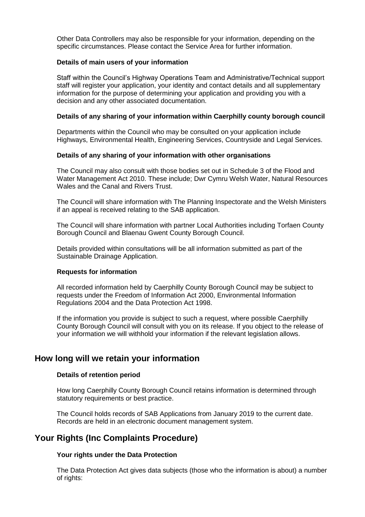Other Data Controllers may also be responsible for your information, depending on the specific circumstances. Please contact the Service Area for further information.

#### **Details of main users of your information**

Staff within the Council's Highway Operations Team and Administrative/Technical support staff will register your application, your identity and contact details and all supplementary information for the purpose of determining your application and providing you with a decision and any other associated documentation.

#### **Details of any sharing of your information within Caerphilly county borough council**

Departments within the Council who may be consulted on your application include Highways, Environmental Health, Engineering Services, Countryside and Legal Services.

#### **Details of any sharing of your information with other organisations**

The Council may also consult with those bodies set out in Schedule 3 of the Flood and Water Management Act 2010. These include; Dwr Cymru Welsh Water, Natural Resources Wales and the Canal and Rivers Trust.

The Council will share information with The Planning Inspectorate and the Welsh Ministers if an appeal is received relating to the SAB application.

The Council will share information with partner Local Authorities including Torfaen County Borough Council and Blaenau Gwent County Borough Council.

Details provided within consultations will be all information submitted as part of the Sustainable Drainage Application.

#### **Requests for information**

All recorded information held by Caerphilly County Borough Council may be subject to requests under the Freedom of Information Act 2000, Environmental Information Regulations 2004 and the Data Protection Act 1998.

If the information you provide is subject to such a request, where possible Caerphilly County Borough Council will consult with you on its release. If you object to the release of your information we will withhold your information if the relevant legislation allows.

### **How long will we retain your information**

#### **Details of retention period**

How long Caerphilly County Borough Council retains information is determined through statutory requirements or best practice.

The Council holds records of SAB Applications from January 2019 to the current date. Records are held in an electronic document management system.

## **Your Rights (Inc Complaints Procedure)**

#### **Your rights under the Data Protection**

The Data Protection Act gives data subjects (those who the information is about) a number of rights: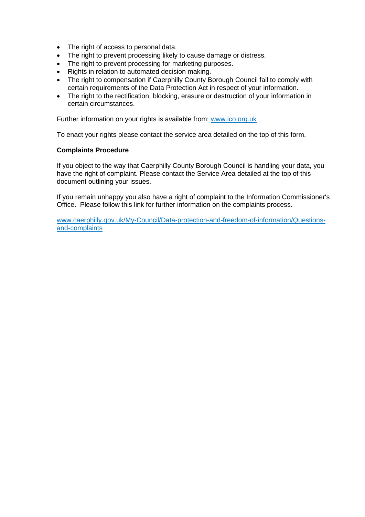- The right of access to personal data.
- The right to prevent processing likely to cause damage or distress.
- The right to prevent processing for marketing purposes.
- Rights in relation to automated decision making.
- The right to compensation if Caerphilly County Borough Council fail to comply with certain requirements of the Data Protection Act in respect of your information.
- The right to the rectification, blocking, erasure or destruction of your information in certain circumstances.

Further information on your rights is available from: [www.ico.org.uk](http://www.ico.org.uk/)

To enact your rights please contact the service area detailed on the top of this form.

#### **Complaints Procedure**

If you object to the way that Caerphilly County Borough Council is handling your data, you have the right of complaint. Please contact the Service Area detailed at the top of this document outlining your issues.

If you remain unhappy you also have a right of complaint to the Information Commissioner's Office. Please follow this link for further information on the complaints process.

[www.caerphilly.gov.uk/My-Council/Data-protection-and-freedom-of-information/Questions](http://www.caerphilly.gov.uk/My-Council/Data-protection-and-freedom-of-information/Questions-and-complaints)[and-complaints](http://www.caerphilly.gov.uk/My-Council/Data-protection-and-freedom-of-information/Questions-and-complaints)